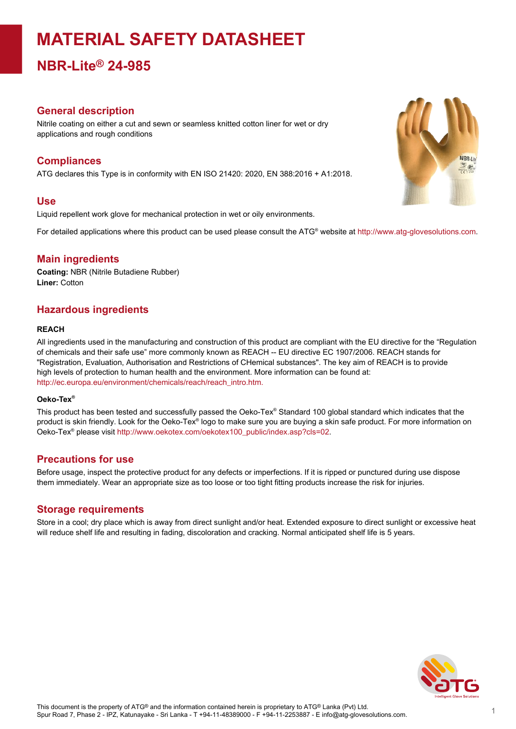# **MATERIAL SAFETY DATASHEET**

**NBR-Lite® 24-985**

## **General description**

Nitrile coating on either a cut and sewn or seamless knitted cotton liner for wet or dry applications and rough conditions

# **Compliances**

ATG declares this Type is in conformity with EN ISO 21420: 2020, EN 388:2016 + A1:2018.

### **Use**

Liquid repellent work glove for mechanical protection in wet or oily environments.

For detailed applications where this product can be used please consult the ATG® website at http://www.atg-glovesolutions.com.

## **Main ingredients**

**Coating:** NBR (Nitrile Butadiene Rubber) **Liner:** Cotton

# **Hazardous ingredients**

#### **REACH**

All ingredients used in the manufacturing and construction of this product are compliant with the EU directive for the "Regulation of chemicals and their safe use" more commonly known as REACH -- EU directive EC 1907/2006. REACH stands for "Registration, Evaluation, Authorisation and Restrictions of CHemical substances". The key aim of REACH is to provide high levels of protection to human health and the environment. More information can be found at: [http://ec.europa.eu/environment/chemicals/reach/reach\\_intro.htm.](http://ec.europa.eu/environment/chemicals/reach/reach_intro.htm.)

#### **Oeko-Tex ®**

This product has been tested and successfully passed the Oeko-Tex® Standard 100 global standard which indicates that the product is skin friendly. Look for the Oeko-Tex® logo to make sure you are buying a skin safe product. For more information on Oeko-Tex® please visit [http://www.oekotex.com/oekotex100\\_public/index.asp?cls=02.](http://www.oekotex.com/oekotex100_public/index.asp?cls=02)

### **Precautions for use**

Before usage, inspect the protective product for any defects or imperfections. If it is ripped or punctured during use dispose them immediately. Wear an appropriate size as too loose or too tight fitting products increase the risk for injuries.

## **Storage requirements**

Store in a cool; dry place which is away from direct sunlight and/or heat. Extended exposure to direct sunlight or excessive heat will reduce shelf life and resulting in fading, discoloration and cracking. Normal anticipated shelf life is 5 years.